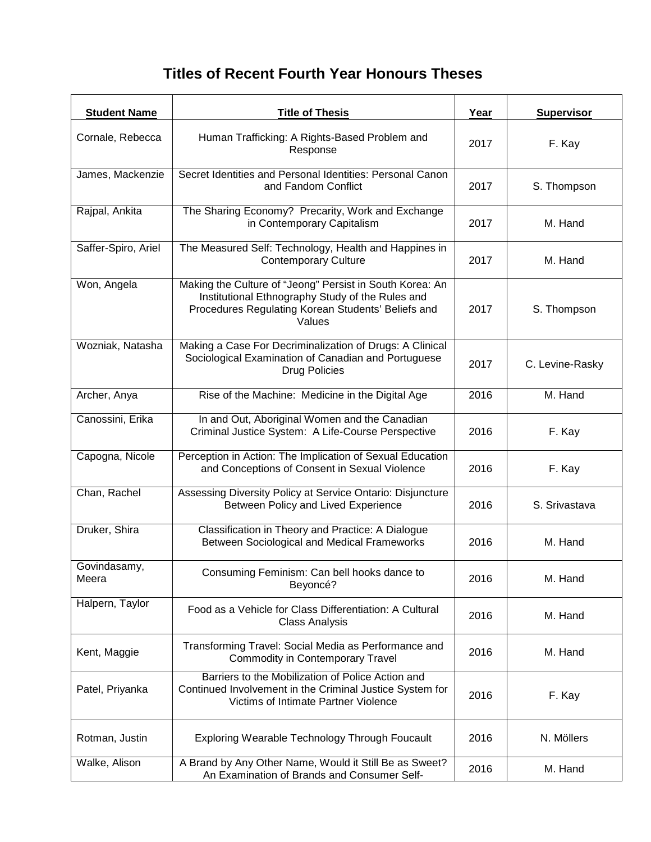## **Titles of Recent Fourth Year Honours Theses**

| <b>Student Name</b>   | <b>Title of Thesis</b>                                                                                                                                                       | Year | <b>Supervisor</b> |
|-----------------------|------------------------------------------------------------------------------------------------------------------------------------------------------------------------------|------|-------------------|
| Cornale, Rebecca      | Human Trafficking: A Rights-Based Problem and<br>Response                                                                                                                    | 2017 | F. Kay            |
| James, Mackenzie      | Secret Identities and Personal Identities: Personal Canon<br>and Fandom Conflict                                                                                             | 2017 | S. Thompson       |
| Rajpal, Ankita        | The Sharing Economy? Precarity, Work and Exchange<br>in Contemporary Capitalism                                                                                              | 2017 | M. Hand           |
| Saffer-Spiro, Ariel   | The Measured Self: Technology, Health and Happines in<br><b>Contemporary Culture</b>                                                                                         | 2017 | M. Hand           |
| Won, Angela           | Making the Culture of "Jeong" Persist in South Korea: An<br>Institutional Ethnography Study of the Rules and<br>Procedures Regulating Korean Students' Beliefs and<br>Values | 2017 | S. Thompson       |
| Wozniak, Natasha      | Making a Case For Decriminalization of Drugs: A Clinical<br>Sociological Examination of Canadian and Portuguese<br><b>Drug Policies</b>                                      | 2017 | C. Levine-Rasky   |
| Archer, Anya          | Rise of the Machine: Medicine in the Digital Age                                                                                                                             | 2016 | M. Hand           |
| Canossini, Erika      | In and Out, Aboriginal Women and the Canadian<br>Criminal Justice System: A Life-Course Perspective                                                                          | 2016 | F. Kay            |
| Capogna, Nicole       | Perception in Action: The Implication of Sexual Education<br>and Conceptions of Consent in Sexual Violence                                                                   | 2016 | F. Kay            |
| Chan, Rachel          | Assessing Diversity Policy at Service Ontario: Disjuncture<br>Between Policy and Lived Experience                                                                            | 2016 | S. Srivastava     |
| Druker, Shira         | Classification in Theory and Practice: A Dialogue<br>Between Sociological and Medical Frameworks                                                                             | 2016 | M. Hand           |
| Govindasamy,<br>Meera | Consuming Feminism: Can bell hooks dance to<br>Beyoncé?                                                                                                                      | 2016 | M. Hand           |
| Halpern, Taylor       | Food as a Vehicle for Class Differentiation: A Cultural<br><b>Class Analysis</b>                                                                                             | 2016 | M. Hand           |
| Kent, Maggie          | Transforming Travel: Social Media as Performance and<br><b>Commodity in Contemporary Travel</b>                                                                              | 2016 | M. Hand           |
| Patel, Priyanka       | Barriers to the Mobilization of Police Action and<br>Continued Involvement in the Criminal Justice System for<br>Victims of Intimate Partner Violence                        | 2016 | F. Kay            |
| Rotman, Justin        | Exploring Wearable Technology Through Foucault                                                                                                                               | 2016 | N. Möllers        |
| Walke, Alison         | A Brand by Any Other Name, Would it Still Be as Sweet?<br>An Examination of Brands and Consumer Self-                                                                        | 2016 | M. Hand           |